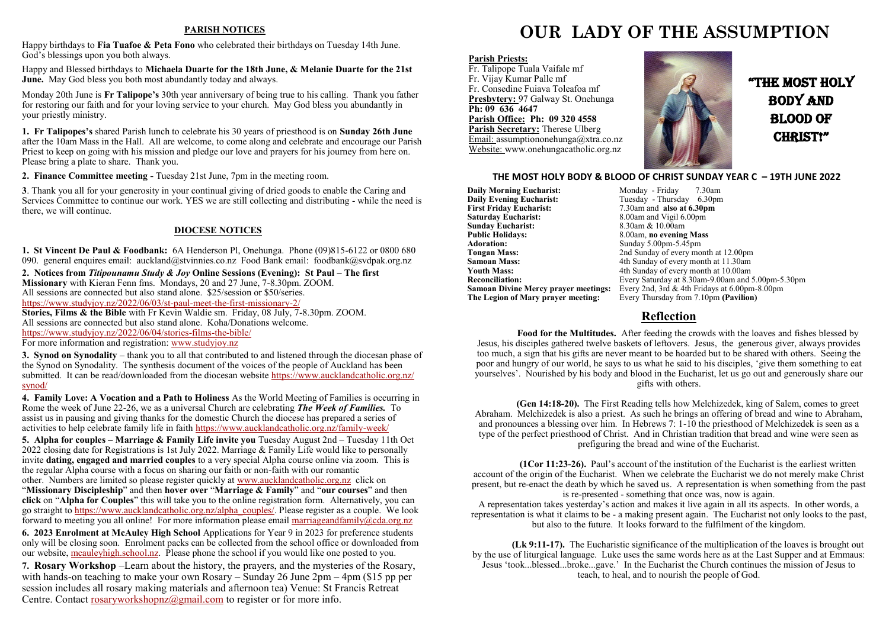#### **PARISH NOTICES**

Happy birthdays to **Fia Tuafoe & Peta Fono** who celebrated their birthdays on Tuesday 14th June. God's blessings upon you both always.

Happy and Blessed birthdays to **Michaela Duarte for the 18th June, & Melanie Duarte for the 21st June.** May God bless you both most abundantly today and always.

Monday 20th June is **Fr Talipope's** 30th year anniversary of being true to his calling. Thank you father for restoring our faith and for your loving service to your church. May God bless you abundantly in your priestly ministry.

**1. Fr Talipopes's** shared Parish lunch to celebrate his 30 years of priesthood is on **Sunday 26th June**  after the 10am Mass in the Hall. All are welcome, to come along and celebrate and encourage our Parish Priest to keep on going with his mission and pledge our love and prayers for his journey from here on. Please bring a plate to share. Thank you.

**2. Finance Committee meeting -** Tuesday 21st June, 7pm in the meeting room.

**3**. Thank you all for your generosity in your continual giving of dried goods to enable the Caring and Services Committee to continue our work. YES we are still collecting and distributing - while the need is there, we will continue.

#### **DIOCESE NOTICES**

**1. St Vincent De Paul & Foodbank:** 6A Henderson Pl, Onehunga. Phone (09)815-6122 or 0800 680 090. general enquires email: auckland@stvinnies.co.nz Food Bank email: foodbank@svdpak.org.nz

**2. Notices from** *Titipounamu Study & Joy* **Online Sessions (Evening): St Paul – The first Missionary** with Kieran Fenn fms. Mondays, 20 and 27 June, 7-8.30pm. ZOOM. All sessions are connected but also stand alone. \$25/session or \$50/series. [https://www.studyjoy.nz/2022/06/03/st](https://www.studyjoy.nz/2022/06/03/st-paul-meet-the-first-missionary-2/)-paul-meet-the-first-missionary-2/

**Stories, Films & the Bible** with Fr Kevin Waldie sm. Friday, 08 July, 7-8.30pm. ZOOM. All sessions are connected but also stand alone. Koha/Donations welcome. [https://www.studyjoy.nz/2022/06/04/stories](https://www.studyjoy.nz/2022/06/04/stories-films-the-bible/)-films-the-bible/

For more information and registration: [www.studyjoy.nz](http://www.studyjoy.nz/)

**3. Synod on Synodality** – thank you to all that contributed to and listened through the diocesan phase of the Synod on Synodality. The synthesis document of the voices of the people of Auckland has been submitted. It can be read/downloaded from the diocesan website [https://www.aucklandcatholic.org.nz/](https://www.aucklandcatholic.org.nz/synod/) [synod/](https://www.aucklandcatholic.org.nz/synod/)

**4. Family Love: A Vocation and a Path to Holiness** As the World Meeting of Families is occurring in Rome the week of June 22-26, we as a universal Church are celebrating *The Week of Families.* To assist us in pausing and giving thanks for the domestic Church the diocese has prepared a series of activities to help celebrate family life in faith [https://www.aucklandcatholic.org.nz/family](https://www.aucklandcatholic.org.nz/family-week/)-week/

**5. Alpha for couples – Marriage & Family Life invite you** Tuesday August 2nd – Tuesday 11th Oct 2022 closing date for Registrations is 1st July 2022. Marriage & Family Life would like to personally invite **dating, engaged and married couples** to a very special Alpha course online via zoom. This is the regular Alpha course with a focus on sharing our faith or non-faith with our romantic other. Numbers are limited so please register quickly at [www.aucklandcatholic.org.nz](http://www.aucklandcatholic.org.nz) click on "**Missionary Discipleship**" and then **hover over** "**Marriage & Family**" and "**our courses**" and then **click** on "**Alpha for Couples**" this will take you to the online registration form. Alternatively, you can go straight to [https://www.aucklandcatholic.org.nz/alpha\\_couples/.](https://www.aucklandcatholic.org.nz/alpha_couples/) Please register as a couple. We look forward to meeting you all online! For more information please email [marriageandfamily@cda.org.nz](mailto:marriageandfamily@cda.org.nz)

**6. 2023 Enrolment at McAuley High School** Applications for Year 9 in 2023 for preference students only will be closing soon. Enrolment packs can be collected from the school office or downloaded from our website, [mcauleyhigh.school.nz.](http://mcauleyhigh.school.nz) Please phone the school if you would like one posted to you.

**7. Rosary Workshop** –Learn about the history, the prayers, and the mysteries of the Rosary, with hands-on teaching to make your own Rosary – Sunday 26 June 2pm – 4pm (\$15 pp per session includes all rosary making materials and afternoon tea) Venue: St Francis Retreat Centre. Contact [rosaryworkshopnz@gmail.com](mailto:rosaryworkshopnz@gmail.com) to register or for more info.

## **OUR LADY OF THE ASSUMPTION**

#### **Parish Priests:**

Fr. Talipope Tuala Vaifale mf Fr. Vijay Kumar Palle mf Fr. Consedine Fuiava Toleafoa mf **Presbytery:** 97 Galway St. Onehunga **Ph: 09 636 4647 Parish Office: Ph: 09 320 4558 Parish Secretary:** Therese Ulberg Email: assumptiononehunga@xtra.co.nz Website: www.onehungacatholic.org.nz



"the most holy body and Blood of CHRIST!"

#### **THE MOST HOLY BODY & BLOOD OF CHRIST SUNDAY YEAR C – 19TH JUNE 2022**

**Daily Morning Eucharist: Monday - Friday 7.30am**<br> **Daily Evening Eucharist:** Tuesday - Thursday 6.30pm **Daily Evening Eucharist:** Tuesday - Thursday 6.30pm<br>First Friday Eucharist: 7.30am and also at 6.30pm **First Friday Eucharist:** 7.30am and **also at 6.30pm**<br>**Saturday Eucharist:** 8.00am and Vigil 6.00pm **Sunday Eucharist:**<br>Public Holidays: **Public Holidays:** 8.00am, **no evening Mass**<br>**Adoration:** Sunday 5.00pm-5.45pm **Adoration:** Sunday 5.00pm-5.45pm<br> **Tongan Mass:** 2nd Sunday of every mo **Tongan Mass:** 2nd Sunday of every month at 12.00pm<br> **Samoan Mass:** 4th Sunday of every month at 11.30am **Samoan Mass:** 4th Sunday of every month at 11.30am<br>**Youth Mass:** 4th Sunday of every month at 10.00am **Youth Mass:** 4th Sunday of every month at 10.00am<br>**Reconciliation:** Every Saturday at 8.30am-9.00am and 1

8.00am and Vigil 6.00pm<br>8.30am & 10.00am **Reconciliation:** Every Saturday at 8.30am-9.00am and 5.00pm-5.30pm **Samoan Divine Mercy prayer meetings:** Every 2nd, 3rd & 4th Fridays at 6.00pm-8.00pm<br>**The Legion of Mary prayer meeting:** Every Thursday from 7.10pm (Pavilion) Every Thursday from 7.10pm **(Pavilion)** 

#### **Reflection**

**Food for the Multitudes.** After feeding the crowds with the loaves and fishes blessed by Jesus, his disciples gathered twelve baskets of leftovers. Jesus, the generous giver, always provides too much, a sign that his gifts are never meant to be hoarded but to be shared with others. Seeing the poor and hungry of our world, he says to us what he said to his disciples, 'give them something to eat yourselves'. Nourished by his body and blood in the Eucharist, let us go out and generously share our gifts with others.

**(Gen 14:18-20).** The First Reading tells how Melchizedek, king of Salem, comes to greet Abraham. Melchizedek is also a priest. As such he brings an offering of bread and wine to Abraham, and pronounces a blessing over him. In Hebrews 7: 1-10 the priesthood of Melchizedek is seen as a type of the perfect priesthood of Christ. And in Christian tradition that bread and wine were seen as prefiguring the bread and wine of the Eucharist.

**(1Cor 11:23-26).** Paul's account of the institution of the Eucharist is the earliest written account of the origin of the Eucharist. When we celebrate the Eucharist we do not merely make Christ present, but re-enact the death by which he saved us. A representation is when something from the past is re-presented - something that once was, now is again.

A representation takes yesterday's action and makes it live again in all its aspects. In other words, a representation is what it claims to be - a making present again. The Eucharist not only looks to the past, but also to the future. It looks forward to the fulfilment of the kingdom.

**(Lk 9:11-17).** The Eucharistic significance of the multiplication of the loaves is brought out by the use of liturgical language. Luke uses the same words here as at the Last Supper and at Emmaus: Jesus 'took...blessed...broke...gave.' In the Eucharist the Church continues the mission of Jesus to teach, to heal, and to nourish the people of God.